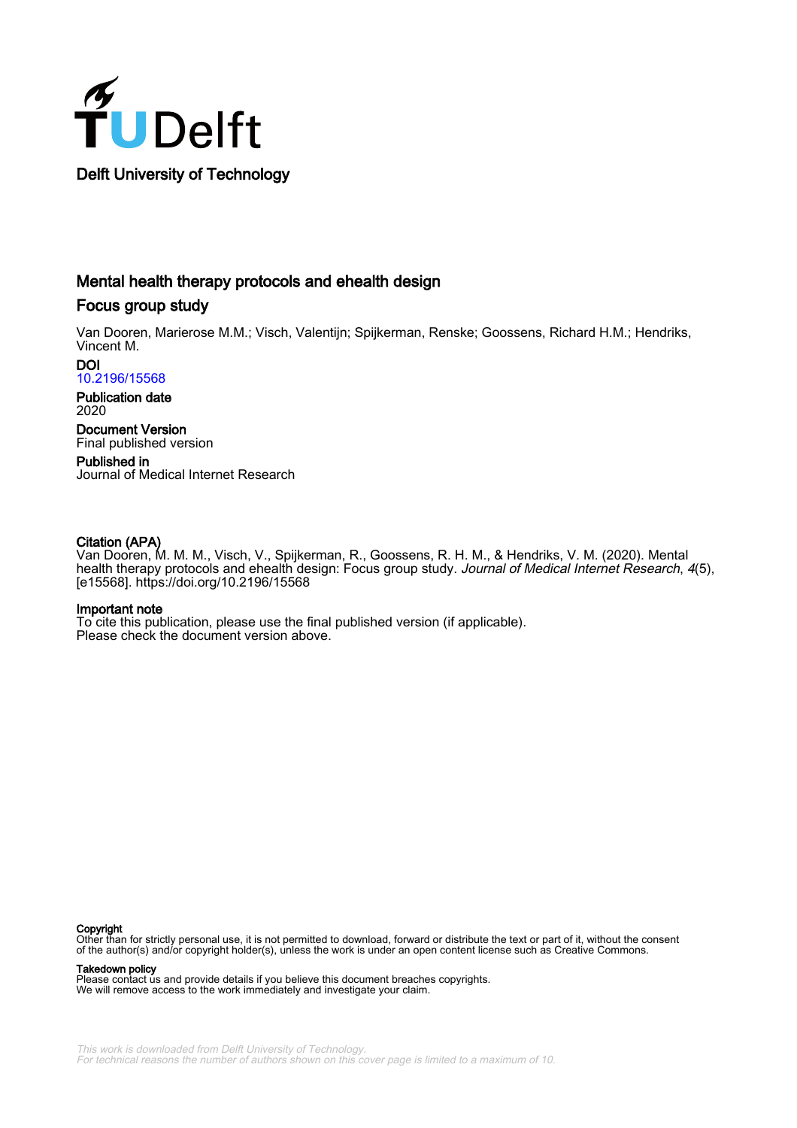

# Mental health therapy protocols and ehealth design

# Focus group study

Van Dooren, Marierose M.M.; Visch, Valentijn; Spijkerman, Renske; Goossens, Richard H.M.; Hendriks, Vincent M.

DOI [10.2196/15568](https://doi.org/10.2196/15568)

Publication date 2020

Document Version Final published version

Published in Journal of Medical Internet Research

### Citation (APA)

Van Dooren, M. M. M., Visch, V., Spijkerman, R., Goossens, R. H. M., & Hendriks, V. M. (2020). Mental health therapy protocols and ehealth design: Focus group study. Journal of Medical Internet Research, 4(5), [e15568].<https://doi.org/10.2196/15568>

#### Important note

To cite this publication, please use the final published version (if applicable). Please check the document version above.

#### **Copyright**

Other than for strictly personal use, it is not permitted to download, forward or distribute the text or part of it, without the consent of the author(s) and/or copyright holder(s), unless the work is under an open content license such as Creative Commons.

#### Takedown policy

Please contact us and provide details if you believe this document breaches copyrights. We will remove access to the work immediately and investigate your claim.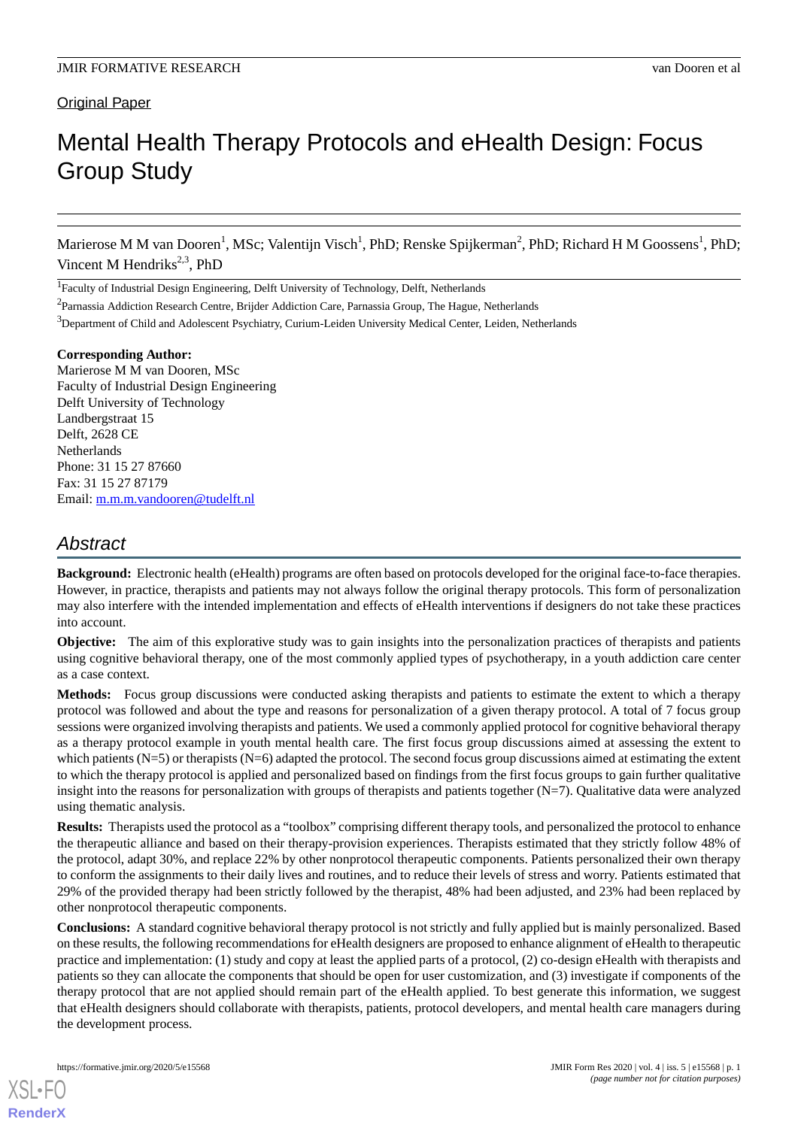# **Original Paper**

# Mental Health Therapy Protocols and eHealth Design: Focus Group Study

Marierose M M van Dooren<sup>1</sup>, MSc; Valentijn Visch<sup>1</sup>, PhD; Renske Spijkerman<sup>2</sup>, PhD; Richard H M Goossens<sup>1</sup>, PhD; Vincent M Hendriks $2,3$ , PhD

<sup>1</sup>Faculty of Industrial Design Engineering, Delft University of Technology, Delft, Netherlands

<sup>3</sup>Department of Child and Adolescent Psychiatry, Curium-Leiden University Medical Center, Leiden, Netherlands

#### **Corresponding Author:**

Marierose M M van Dooren, MSc Faculty of Industrial Design Engineering Delft University of Technology Landbergstraat 15 Delft, 2628 CE **Netherlands** Phone: 31 15 27 87660 Fax: 31 15 27 87179 Email: [m.m.m.vandooren@tudelft.nl](mailto:m.m.m.vandooren@tudelft.nl)

# *Abstract*

**Background:** Electronic health (eHealth) programs are often based on protocols developed for the original face-to-face therapies. However, in practice, therapists and patients may not always follow the original therapy protocols. This form of personalization may also interfere with the intended implementation and effects of eHealth interventions if designers do not take these practices into account.

**Objective:** The aim of this explorative study was to gain insights into the personalization practices of therapists and patients using cognitive behavioral therapy, one of the most commonly applied types of psychotherapy, in a youth addiction care center as a case context.

**Methods:** Focus group discussions were conducted asking therapists and patients to estimate the extent to which a therapy protocol was followed and about the type and reasons for personalization of a given therapy protocol. A total of 7 focus group sessions were organized involving therapists and patients. We used a commonly applied protocol for cognitive behavioral therapy as a therapy protocol example in youth mental health care. The first focus group discussions aimed at assessing the extent to which patients  $(N=5)$  or therapists  $(N=6)$  adapted the protocol. The second focus group discussions aimed at estimating the extent to which the therapy protocol is applied and personalized based on findings from the first focus groups to gain further qualitative insight into the reasons for personalization with groups of therapists and patients together  $(N=7)$ . Qualitative data were analyzed using thematic analysis.

**Results:** Therapists used the protocol as a "toolbox" comprising different therapy tools, and personalized the protocol to enhance the therapeutic alliance and based on their therapy-provision experiences. Therapists estimated that they strictly follow 48% of the protocol, adapt 30%, and replace 22% by other nonprotocol therapeutic components. Patients personalized their own therapy to conform the assignments to their daily lives and routines, and to reduce their levels of stress and worry. Patients estimated that 29% of the provided therapy had been strictly followed by the therapist, 48% had been adjusted, and 23% had been replaced by other nonprotocol therapeutic components.

**Conclusions:** A standard cognitive behavioral therapy protocol is not strictly and fully applied but is mainly personalized. Based on these results, the following recommendations for eHealth designers are proposed to enhance alignment of eHealth to therapeutic practice and implementation: (1) study and copy at least the applied parts of a protocol, (2) co-design eHealth with therapists and patients so they can allocate the components that should be open for user customization, and (3) investigate if components of the therapy protocol that are not applied should remain part of the eHealth applied. To best generate this information, we suggest that eHealth designers should collaborate with therapists, patients, protocol developers, and mental health care managers during the development process.

<sup>&</sup>lt;sup>2</sup>Parnassia Addiction Research Centre, Brijder Addiction Care, Parnassia Group, The Hague, Netherlands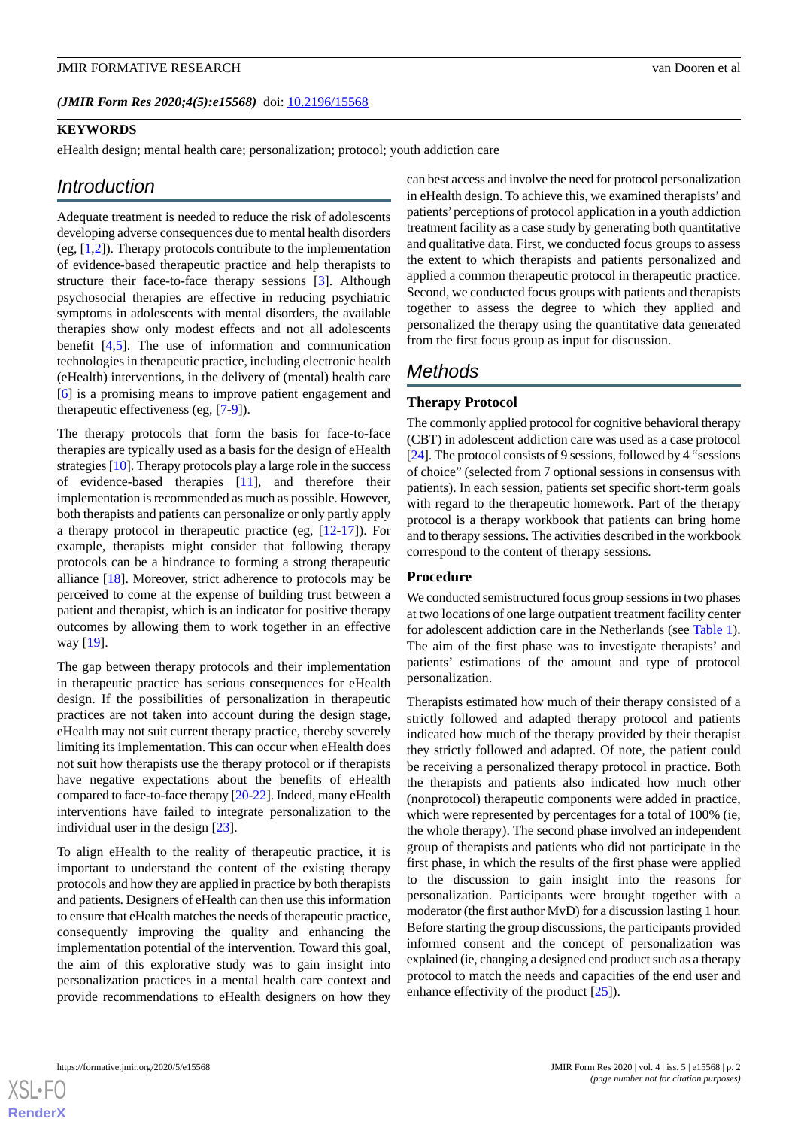*(JMIR Form Res 2020;4(5):e15568)* doi: [10.2196/15568](http://dx.doi.org/10.2196/15568)

#### **KEYWORDS**

eHealth design; mental health care; personalization; protocol; youth addiction care

# *Introduction*

Adequate treatment is needed to reduce the risk of adolescents developing adverse consequences due to mental health disorders (eg,  $[1,2]$  $[1,2]$  $[1,2]$ ). Therapy protocols contribute to the implementation of evidence-based therapeutic practice and help therapists to structure their face-to-face therapy sessions [\[3](#page-8-2)]. Although psychosocial therapies are effective in reducing psychiatric symptoms in adolescents with mental disorders, the available therapies show only modest effects and not all adolescents benefit [[4](#page-9-0)[,5\]](#page-9-1). The use of information and communication technologies in therapeutic practice, including electronic health (eHealth) interventions, in the delivery of (mental) health care [[6\]](#page-9-2) is a promising means to improve patient engagement and therapeutic effectiveness (eg, [\[7](#page-9-3)-[9\]](#page-9-4)).

The therapy protocols that form the basis for face-to-face therapies are typically used as a basis for the design of eHealth strategies [\[10](#page-9-5)]. Therapy protocols play a large role in the success of evidence-based therapies [\[11](#page-9-6)], and therefore their implementation is recommended as much as possible. However, both therapists and patients can personalize or only partly apply a therapy protocol in therapeutic practice (eg, [\[12](#page-9-7)-[17\]](#page-9-8)). For example, therapists might consider that following therapy protocols can be a hindrance to forming a strong therapeutic alliance [\[18](#page-9-9)]. Moreover, strict adherence to protocols may be perceived to come at the expense of building trust between a patient and therapist, which is an indicator for positive therapy outcomes by allowing them to work together in an effective way [[19\]](#page-9-10).

The gap between therapy protocols and their implementation in therapeutic practice has serious consequences for eHealth design. If the possibilities of personalization in therapeutic practices are not taken into account during the design stage, eHealth may not suit current therapy practice, thereby severely limiting its implementation. This can occur when eHealth does not suit how therapists use the therapy protocol or if therapists have negative expectations about the benefits of eHealth compared to face-to-face therapy [[20-](#page-9-11)[22\]](#page-9-12). Indeed, many eHealth interventions have failed to integrate personalization to the individual user in the design [\[23](#page-9-13)].

To align eHealth to the reality of therapeutic practice, it is important to understand the content of the existing therapy protocols and how they are applied in practice by both therapists and patients. Designers of eHealth can then use this information to ensure that eHealth matches the needs of therapeutic practice, consequently improving the quality and enhancing the implementation potential of the intervention. Toward this goal, the aim of this explorative study was to gain insight into personalization practices in a mental health care context and provide recommendations to eHealth designers on how they

can best access and involve the need for protocol personalization in eHealth design. To achieve this, we examined therapists' and patients'perceptions of protocol application in a youth addiction treatment facility as a case study by generating both quantitative and qualitative data. First, we conducted focus groups to assess the extent to which therapists and patients personalized and applied a common therapeutic protocol in therapeutic practice. Second, we conducted focus groups with patients and therapists together to assess the degree to which they applied and personalized the therapy using the quantitative data generated from the first focus group as input for discussion.

# *Methods*

#### **Therapy Protocol**

The commonly applied protocol for cognitive behavioral therapy (CBT) in adolescent addiction care was used as a case protocol [[24\]](#page-9-14). The protocol consists of 9 sessions, followed by 4 "sessions of choice" (selected from 7 optional sessions in consensus with patients). In each session, patients set specific short-term goals with regard to the therapeutic homework. Part of the therapy protocol is a therapy workbook that patients can bring home and to therapy sessions. The activities described in the workbook correspond to the content of therapy sessions.

#### **Procedure**

We conducted semistructured focus group sessions in two phases at two locations of one large outpatient treatment facility center for adolescent addiction care in the Netherlands (see [Table 1\)](#page-3-0). The aim of the first phase was to investigate therapists' and patients' estimations of the amount and type of protocol personalization.

Therapists estimated how much of their therapy consisted of a strictly followed and adapted therapy protocol and patients indicated how much of the therapy provided by their therapist they strictly followed and adapted. Of note, the patient could be receiving a personalized therapy protocol in practice. Both the therapists and patients also indicated how much other (nonprotocol) therapeutic components were added in practice, which were represented by percentages for a total of 100% (ie, the whole therapy). The second phase involved an independent group of therapists and patients who did not participate in the first phase, in which the results of the first phase were applied to the discussion to gain insight into the reasons for personalization. Participants were brought together with a moderator (the first author MvD) for a discussion lasting 1 hour. Before starting the group discussions, the participants provided informed consent and the concept of personalization was explained (ie, changing a designed end product such as a therapy protocol to match the needs and capacities of the end user and enhance effectivity of the product [[25\]](#page-9-15)).

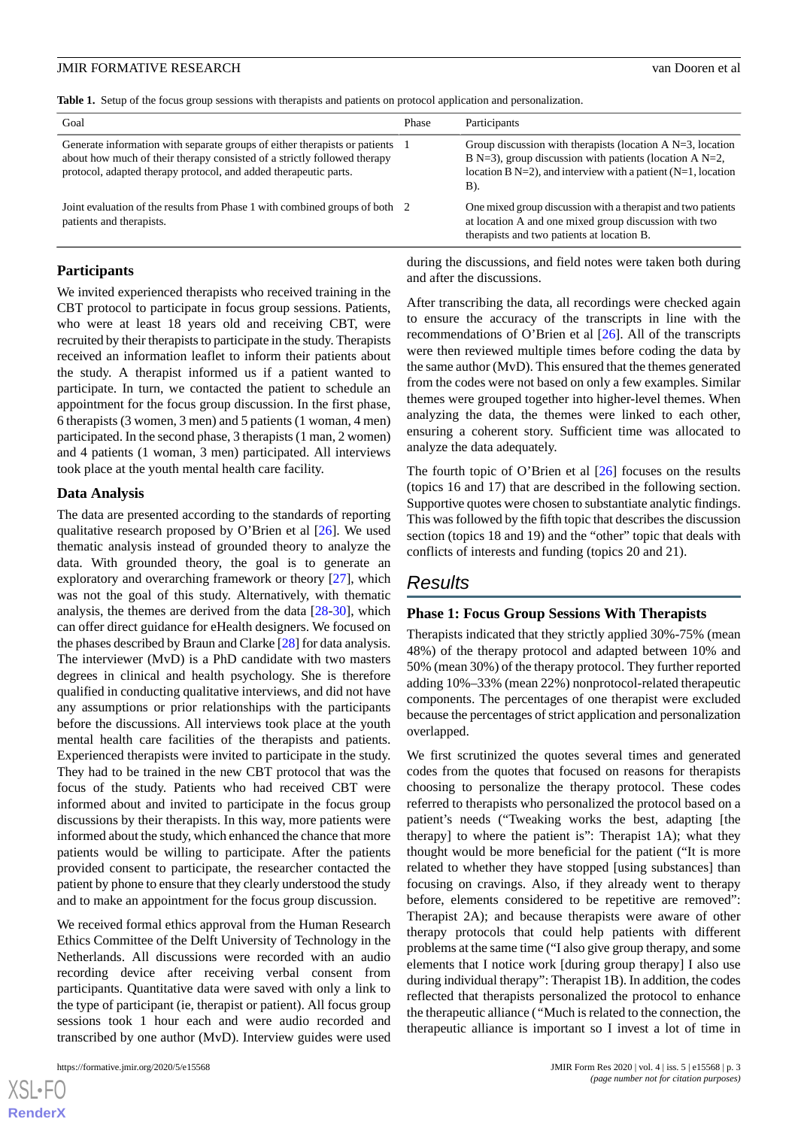<span id="page-3-0"></span>**Table 1.** Setup of the focus group sessions with therapists and patients on protocol application and personalization.

| Goal                                                                                                                                                                                                                       | Phase | Participants                                                                                                                                                                                              |
|----------------------------------------------------------------------------------------------------------------------------------------------------------------------------------------------------------------------------|-------|-----------------------------------------------------------------------------------------------------------------------------------------------------------------------------------------------------------|
| Generate information with separate groups of either therapists or patients<br>about how much of their therapy consisted of a strictly followed therapy<br>protocol, adapted therapy protocol, and added therapeutic parts. |       | Group discussion with therapists (location A $N=3$ , location<br>B N=3), group discussion with patients (location A N=2,<br>location B $N=2$ ), and interview with a patient $(N=1, 1)$ , location<br>B). |
| Joint evaluation of the results from Phase 1 with combined groups of both 2<br>patients and therapists.                                                                                                                    |       | One mixed group discussion with a therapist and two patients<br>at location A and one mixed group discussion with two<br>therapists and two patients at location B.                                       |

### **Participants**

We invited experienced therapists who received training in the CBT protocol to participate in focus group sessions. Patients, who were at least 18 years old and receiving CBT, were recruited by their therapists to participate in the study. Therapists received an information leaflet to inform their patients about the study. A therapist informed us if a patient wanted to participate. In turn, we contacted the patient to schedule an appointment for the focus group discussion. In the first phase, 6 therapists (3 women, 3 men) and 5 patients (1 woman, 4 men) participated. In the second phase, 3 therapists (1 man, 2 women) and 4 patients (1 woman, 3 men) participated. All interviews took place at the youth mental health care facility.

#### **Data Analysis**

The data are presented according to the standards of reporting qualitative research proposed by O'Brien et al [[26\]](#page-9-16). We used thematic analysis instead of grounded theory to analyze the data. With grounded theory, the goal is to generate an exploratory and overarching framework or theory [\[27](#page-9-17)], which was not the goal of this study. Alternatively, with thematic analysis, the themes are derived from the data [\[28](#page-10-0)[-30](#page-10-1)], which can offer direct guidance for eHealth designers. We focused on the phases described by Braun and Clarke [\[28](#page-10-0)] for data analysis. The interviewer (MvD) is a PhD candidate with two masters degrees in clinical and health psychology. She is therefore qualified in conducting qualitative interviews, and did not have any assumptions or prior relationships with the participants before the discussions. All interviews took place at the youth mental health care facilities of the therapists and patients. Experienced therapists were invited to participate in the study. They had to be trained in the new CBT protocol that was the focus of the study. Patients who had received CBT were informed about and invited to participate in the focus group discussions by their therapists. In this way, more patients were informed about the study, which enhanced the chance that more patients would be willing to participate. After the patients provided consent to participate, the researcher contacted the patient by phone to ensure that they clearly understood the study and to make an appointment for the focus group discussion.

We received formal ethics approval from the Human Research Ethics Committee of the Delft University of Technology in the Netherlands. All discussions were recorded with an audio recording device after receiving verbal consent from participants. Quantitative data were saved with only a link to the type of participant (ie, therapist or patient). All focus group sessions took 1 hour each and were audio recorded and transcribed by one author (MvD). Interview guides were used

during the discussions, and field notes were taken both during and after the discussions.

After transcribing the data, all recordings were checked again to ensure the accuracy of the transcripts in line with the recommendations of O'Brien et al [\[26](#page-9-16)]. All of the transcripts were then reviewed multiple times before coding the data by the same author (MvD). This ensured that the themes generated from the codes were not based on only a few examples. Similar themes were grouped together into higher-level themes. When analyzing the data, the themes were linked to each other, ensuring a coherent story. Sufficient time was allocated to analyze the data adequately.

The fourth topic of O'Brien et al  $[26]$  $[26]$  focuses on the results (topics 16 and 17) that are described in the following section. Supportive quotes were chosen to substantiate analytic findings. This was followed by the fifth topic that describes the discussion section (topics 18 and 19) and the "other" topic that deals with conflicts of interests and funding (topics 20 and 21).

# *Results*

#### **Phase 1: Focus Group Sessions With Therapists**

Therapists indicated that they strictly applied 30%-75% (mean 48%) of the therapy protocol and adapted between 10% and 50% (mean 30%) of the therapy protocol. They further reported adding 10%–33% (mean 22%) nonprotocol-related therapeutic components. The percentages of one therapist were excluded because the percentages of strict application and personalization overlapped.

We first scrutinized the quotes several times and generated codes from the quotes that focused on reasons for therapists choosing to personalize the therapy protocol. These codes referred to therapists who personalized the protocol based on a patient's needs ("Tweaking works the best, adapting [the therapy] to where the patient is": Therapist 1A); what they thought would be more beneficial for the patient ("It is more related to whether they have stopped [using substances] than focusing on cravings. Also, if they already went to therapy before, elements considered to be repetitive are removed": Therapist 2A); and because therapists were aware of other therapy protocols that could help patients with different problems at the same time ("I also give group therapy, and some elements that I notice work [during group therapy] I also use during individual therapy": Therapist 1B). In addition, the codes reflected that therapists personalized the protocol to enhance the therapeutic alliance (*"*Much is related to the connection, the therapeutic alliance is important so I invest a lot of time in

 $XS$  • FO **[RenderX](http://www.renderx.com/)**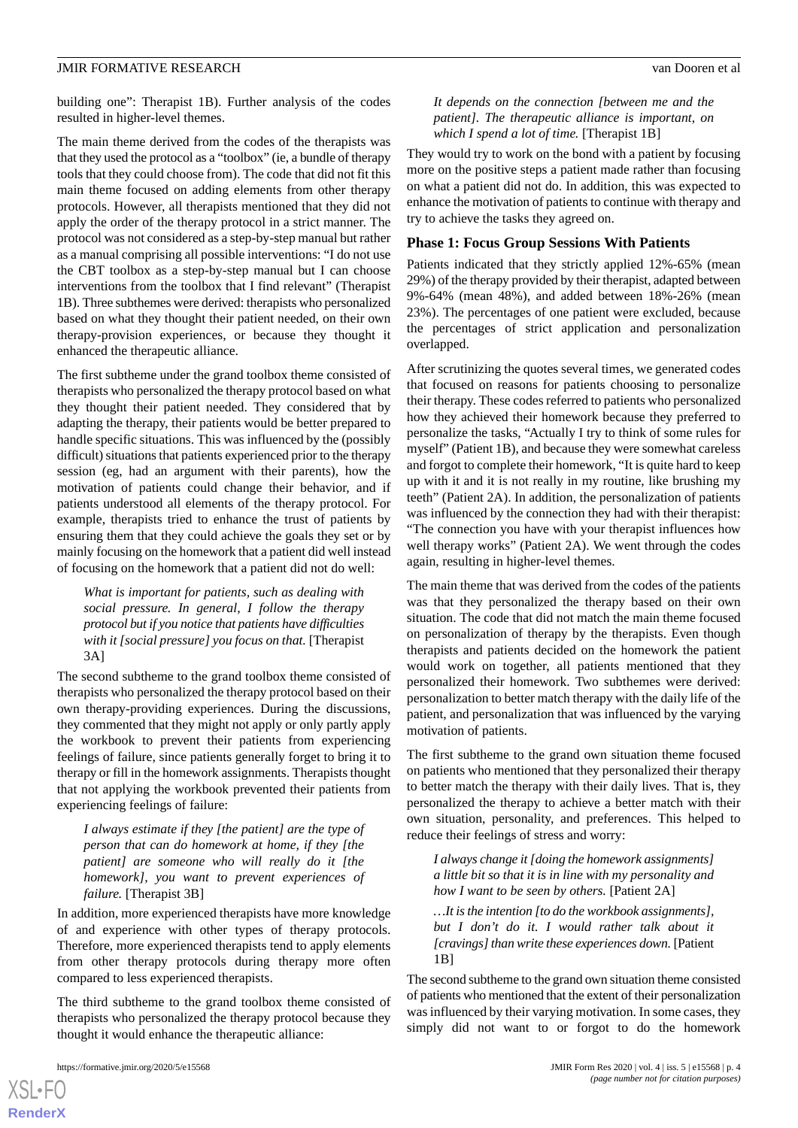building one": Therapist 1B). Further analysis of the codes resulted in higher-level themes.

The main theme derived from the codes of the therapists was that they used the protocol as a "toolbox" (ie, a bundle of therapy tools that they could choose from). The code that did not fit this main theme focused on adding elements from other therapy protocols. However, all therapists mentioned that they did not apply the order of the therapy protocol in a strict manner. The protocol was not considered as a step-by-step manual but rather as a manual comprising all possible interventions: "I do not use the CBT toolbox as a step-by-step manual but I can choose interventions from the toolbox that I find relevant" (Therapist 1B). Three subthemes were derived: therapists who personalized based on what they thought their patient needed, on their own therapy-provision experiences, or because they thought it enhanced the therapeutic alliance.

The first subtheme under the grand toolbox theme consisted of therapists who personalized the therapy protocol based on what they thought their patient needed. They considered that by adapting the therapy, their patients would be better prepared to handle specific situations. This was influenced by the (possibly difficult) situations that patients experienced prior to the therapy session (eg, had an argument with their parents), how the motivation of patients could change their behavior, and if patients understood all elements of the therapy protocol. For example, therapists tried to enhance the trust of patients by ensuring them that they could achieve the goals they set or by mainly focusing on the homework that a patient did well instead of focusing on the homework that a patient did not do well:

*What is important for patients, such as dealing with social pressure. In general, I follow the therapy protocol but if you notice that patients have difficulties with it [social pressure] you focus on that.* [Therapist 3A]

The second subtheme to the grand toolbox theme consisted of therapists who personalized the therapy protocol based on their own therapy-providing experiences. During the discussions, they commented that they might not apply or only partly apply the workbook to prevent their patients from experiencing feelings of failure, since patients generally forget to bring it to therapy or fill in the homework assignments. Therapists thought that not applying the workbook prevented their patients from experiencing feelings of failure:

*I always estimate if they [the patient] are the type of person that can do homework at home, if they [the patient] are someone who will really do it [the homework], you want to prevent experiences of failure.* [Therapist 3B]

In addition, more experienced therapists have more knowledge of and experience with other types of therapy protocols. Therefore, more experienced therapists tend to apply elements from other therapy protocols during therapy more often compared to less experienced therapists.

The third subtheme to the grand toolbox theme consisted of therapists who personalized the therapy protocol because they thought it would enhance the therapeutic alliance:

*It depends on the connection [between me and the patient]. The therapeutic alliance is important, on which I spend a lot of time.* [Therapist 1B]

They would try to work on the bond with a patient by focusing more on the positive steps a patient made rather than focusing on what a patient did not do. In addition, this was expected to enhance the motivation of patients to continue with therapy and try to achieve the tasks they agreed on.

#### **Phase 1: Focus Group Sessions With Patients**

Patients indicated that they strictly applied 12%-65% (mean 29%) of the therapy provided by their therapist, adapted between 9%-64% (mean 48%), and added between 18%-26% (mean 23%). The percentages of one patient were excluded, because the percentages of strict application and personalization overlapped.

After scrutinizing the quotes several times, we generated codes that focused on reasons for patients choosing to personalize their therapy. These codes referred to patients who personalized how they achieved their homework because they preferred to personalize the tasks, "Actually I try to think of some rules for myself" (Patient 1B), and because they were somewhat careless and forgot to complete their homework, "It is quite hard to keep up with it and it is not really in my routine, like brushing my teeth" (Patient 2A). In addition, the personalization of patients was influenced by the connection they had with their therapist: "The connection you have with your therapist influences how well therapy works" (Patient 2A). We went through the codes again, resulting in higher-level themes.

The main theme that was derived from the codes of the patients was that they personalized the therapy based on their own situation. The code that did not match the main theme focused on personalization of therapy by the therapists. Even though therapists and patients decided on the homework the patient would work on together, all patients mentioned that they personalized their homework. Two subthemes were derived: personalization to better match therapy with the daily life of the patient, and personalization that was influenced by the varying motivation of patients.

The first subtheme to the grand own situation theme focused on patients who mentioned that they personalized their therapy to better match the therapy with their daily lives. That is, they personalized the therapy to achieve a better match with their own situation, personality, and preferences. This helped to reduce their feelings of stress and worry:

*I always change it [doing the homework assignments] a little bit so that it is in line with my personality and how I want to be seen by others.* [Patient 2A]

*…It is the intention [to do the workbook assignments], but I don't do it. I would rather talk about it [cravings] than write these experiences down.* [Patient 1B]

The second subtheme to the grand own situation theme consisted of patients who mentioned that the extent of their personalization was influenced by their varying motivation. In some cases, they simply did not want to or forgot to do the homework

 $XSI - F($ **[RenderX](http://www.renderx.com/)**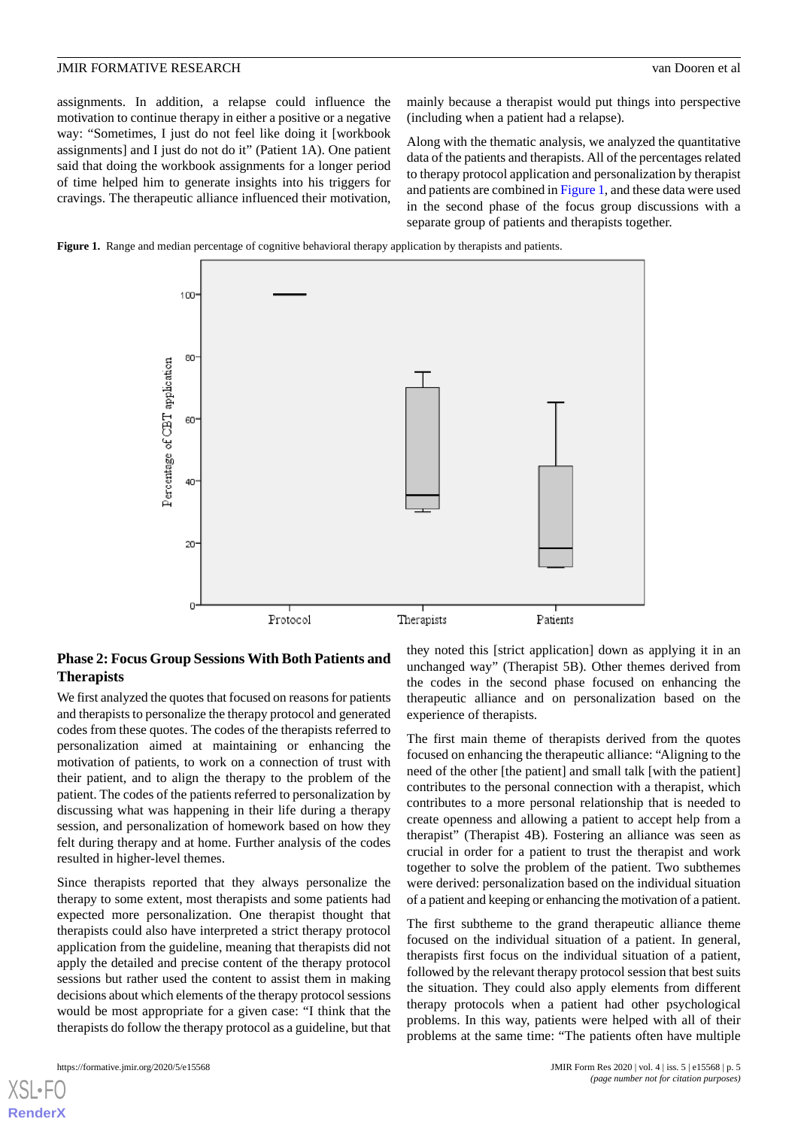assignments. In addition, a relapse could influence the motivation to continue therapy in either a positive or a negative way: "Sometimes, I just do not feel like doing it [workbook assignments] and I just do not do it" (Patient 1A). One patient said that doing the workbook assignments for a longer period of time helped him to generate insights into his triggers for cravings. The therapeutic alliance influenced their motivation,

mainly because a therapist would put things into perspective (including when a patient had a relapse).

Along with the thematic analysis, we analyzed the quantitative data of the patients and therapists. All of the percentages related to therapy protocol application and personalization by therapist and patients are combined in [Figure 1](#page-5-0), and these data were used in the second phase of the focus group discussions with a separate group of patients and therapists together.

<span id="page-5-0"></span>



# **Phase 2: Focus Group Sessions With Both Patients and Therapists**

We first analyzed the quotes that focused on reasons for patients and therapists to personalize the therapy protocol and generated codes from these quotes. The codes of the therapists referred to personalization aimed at maintaining or enhancing the motivation of patients, to work on a connection of trust with their patient, and to align the therapy to the problem of the patient. The codes of the patients referred to personalization by discussing what was happening in their life during a therapy session, and personalization of homework based on how they felt during therapy and at home. Further analysis of the codes resulted in higher-level themes.

Since therapists reported that they always personalize the therapy to some extent, most therapists and some patients had expected more personalization. One therapist thought that therapists could also have interpreted a strict therapy protocol application from the guideline, meaning that therapists did not apply the detailed and precise content of the therapy protocol sessions but rather used the content to assist them in making decisions about which elements of the therapy protocol sessions would be most appropriate for a given case: "I think that the therapists do follow the therapy protocol as a guideline, but that

[XSL](http://www.w3.org/Style/XSL)•FO **[RenderX](http://www.renderx.com/)**

they noted this [strict application] down as applying it in an unchanged way" (Therapist 5B). Other themes derived from the codes in the second phase focused on enhancing the therapeutic alliance and on personalization based on the experience of therapists.

The first main theme of therapists derived from the quotes focused on enhancing the therapeutic alliance: "Aligning to the need of the other [the patient] and small talk [with the patient] contributes to the personal connection with a therapist, which contributes to a more personal relationship that is needed to create openness and allowing a patient to accept help from a therapist" (Therapist 4B). Fostering an alliance was seen as crucial in order for a patient to trust the therapist and work together to solve the problem of the patient. Two subthemes were derived: personalization based on the individual situation of a patient and keeping or enhancing the motivation of a patient.

The first subtheme to the grand therapeutic alliance theme focused on the individual situation of a patient. In general, therapists first focus on the individual situation of a patient, followed by the relevant therapy protocol session that best suits the situation. They could also apply elements from different therapy protocols when a patient had other psychological problems. In this way, patients were helped with all of their problems at the same time: "The patients often have multiple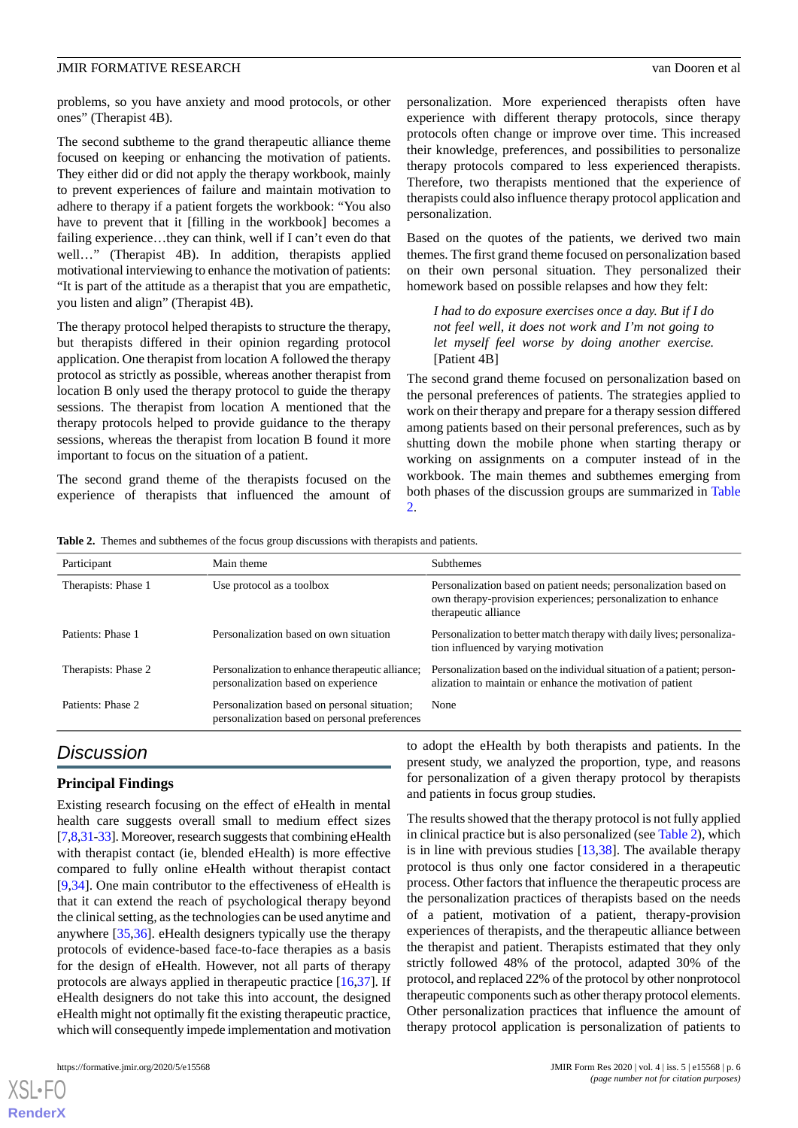problems, so you have anxiety and mood protocols, or other ones" (Therapist 4B).

The second subtheme to the grand therapeutic alliance theme focused on keeping or enhancing the motivation of patients. They either did or did not apply the therapy workbook, mainly to prevent experiences of failure and maintain motivation to adhere to therapy if a patient forgets the workbook: "You also have to prevent that it [filling in the workbook] becomes a failing experience…they can think, well if I can't even do that well…" (Therapist 4B). In addition, therapists applied motivational interviewing to enhance the motivation of patients: "It is part of the attitude as a therapist that you are empathetic, you listen and align" (Therapist 4B).

The therapy protocol helped therapists to structure the therapy, but therapists differed in their opinion regarding protocol application. One therapist from location A followed the therapy protocol as strictly as possible, whereas another therapist from location B only used the therapy protocol to guide the therapy sessions. The therapist from location A mentioned that the therapy protocols helped to provide guidance to the therapy sessions, whereas the therapist from location B found it more important to focus on the situation of a patient.

<span id="page-6-0"></span>The second grand theme of the therapists focused on the experience of therapists that influenced the amount of personalization. More experienced therapists often have experience with different therapy protocols, since therapy protocols often change or improve over time. This increased their knowledge, preferences, and possibilities to personalize therapy protocols compared to less experienced therapists. Therefore, two therapists mentioned that the experience of therapists could also influence therapy protocol application and personalization.

Based on the quotes of the patients, we derived two main themes. The first grand theme focused on personalization based on their own personal situation. They personalized their homework based on possible relapses and how they felt:

*I had to do exposure exercises once a day. But if I do not feel well, it does not work and I'm not going to let myself feel worse by doing another exercise.* [Patient 4B]

The second grand theme focused on personalization based on the personal preferences of patients. The strategies applied to work on their therapy and prepare for a therapy session differed among patients based on their personal preferences, such as by shutting down the mobile phone when starting therapy or working on assignments on a computer instead of in the workbook. The main themes and subthemes emerging from both phases of the discussion groups are summarized in [Table](#page-6-0)  $\mathcal{L}$ 

**Table 2.** Themes and subthemes of the focus group discussions with therapists and patients.

| Participant         | Main theme                                                                                    | <b>Subthemes</b><br>Personalization based on patient needs; personalization based on<br>own therapy-provision experiences; personalization to enhance<br>therapeutic alliance |  |
|---------------------|-----------------------------------------------------------------------------------------------|-------------------------------------------------------------------------------------------------------------------------------------------------------------------------------|--|
| Therapists: Phase 1 | Use protocol as a toolbox                                                                     |                                                                                                                                                                               |  |
| Patients: Phase 1   | Personalization based on own situation                                                        | Personalization to better match therapy with daily lives; personaliza-<br>tion influenced by varying motivation                                                               |  |
| Therapists: Phase 2 | Personalization to enhance therapeutic alliance;<br>personalization based on experience       | Personalization based on the individual situation of a patient; person-<br>alization to maintain or enhance the motivation of patient                                         |  |
| Patients: Phase 2   | Personalization based on personal situation;<br>personalization based on personal preferences | None                                                                                                                                                                          |  |

# *Discussion*

### **Principal Findings**

Existing research focusing on the effect of eHealth in mental health care suggests overall small to medium effect sizes [[7,](#page-9-3)[8](#page-9-18)[,31](#page-10-2)[-33\]](#page-10-3). Moreover, research suggests that combining eHealth with therapist contact (ie, blended eHealth) is more effective compared to fully online eHealth without therapist contact [[9](#page-9-4)[,34](#page-10-4)]. One main contributor to the effectiveness of eHealth is that it can extend the reach of psychological therapy beyond the clinical setting, as the technologies can be used anytime and anywhere [\[35](#page-10-5),[36\]](#page-10-6). eHealth designers typically use the therapy protocols of evidence-based face-to-face therapies as a basis for the design of eHealth. However, not all parts of therapy protocols are always applied in therapeutic practice [\[16](#page-9-19),[37\]](#page-10-7). If eHealth designers do not take this into account, the designed eHealth might not optimally fit the existing therapeutic practice, which will consequently impede implementation and motivation

to adopt the eHealth by both therapists and patients. In the present study, we analyzed the proportion, type, and reasons for personalization of a given therapy protocol by therapists and patients in focus group studies.

The results showed that the therapy protocol is not fully applied in clinical practice but is also personalized (see [Table 2](#page-6-0)), which is in line with previous studies  $[13,38]$  $[13,38]$  $[13,38]$ . The available therapy protocol is thus only one factor considered in a therapeutic process. Other factors that influence the therapeutic process are the personalization practices of therapists based on the needs of a patient, motivation of a patient, therapy-provision experiences of therapists, and the therapeutic alliance between the therapist and patient. Therapists estimated that they only strictly followed 48% of the protocol, adapted 30% of the protocol, and replaced 22% of the protocol by other nonprotocol therapeutic components such as other therapy protocol elements. Other personalization practices that influence the amount of therapy protocol application is personalization of patients to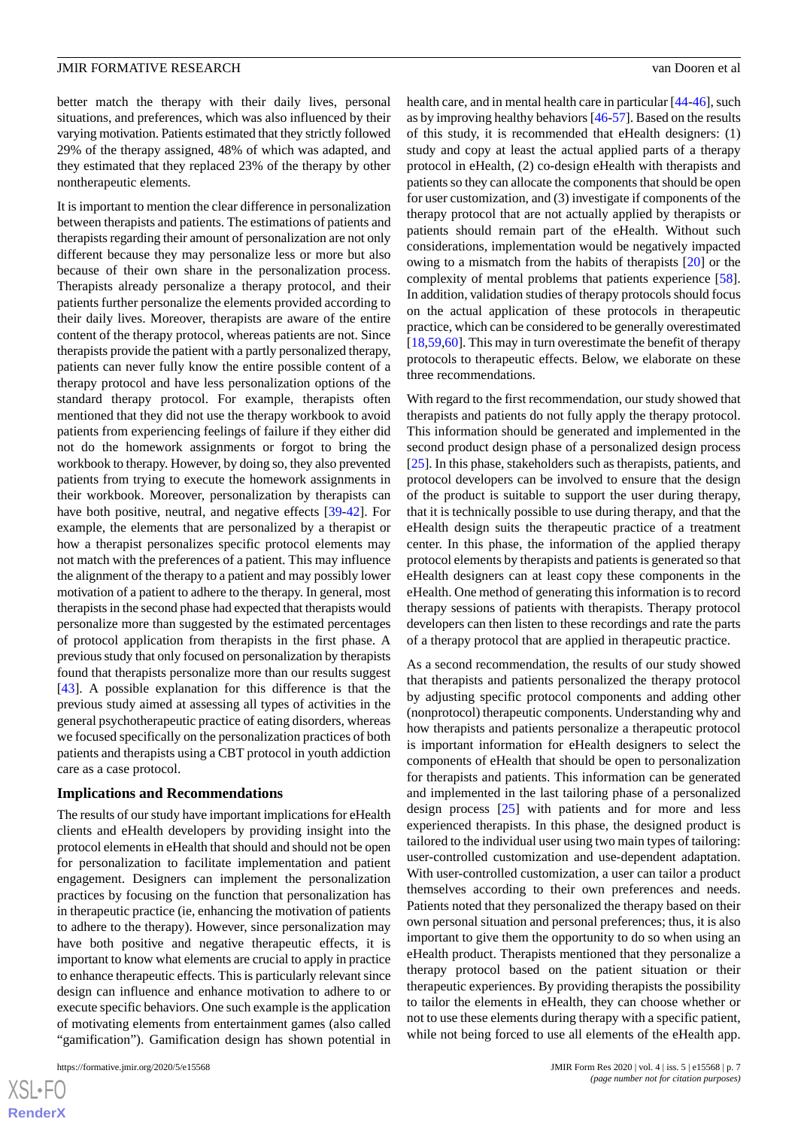better match the therapy with their daily lives, personal situations, and preferences, which was also influenced by their varying motivation. Patients estimated that they strictly followed 29% of the therapy assigned, 48% of which was adapted, and they estimated that they replaced 23% of the therapy by other nontherapeutic elements.

It is important to mention the clear difference in personalization between therapists and patients. The estimations of patients and therapists regarding their amount of personalization are not only different because they may personalize less or more but also because of their own share in the personalization process. Therapists already personalize a therapy protocol, and their patients further personalize the elements provided according to their daily lives. Moreover, therapists are aware of the entire content of the therapy protocol, whereas patients are not. Since therapists provide the patient with a partly personalized therapy, patients can never fully know the entire possible content of a therapy protocol and have less personalization options of the standard therapy protocol. For example, therapists often mentioned that they did not use the therapy workbook to avoid patients from experiencing feelings of failure if they either did not do the homework assignments or forgot to bring the workbook to therapy. However, by doing so, they also prevented patients from trying to execute the homework assignments in their workbook. Moreover, personalization by therapists can have both positive, neutral, and negative effects [\[39](#page-10-9)[-42](#page-10-10)]. For example, the elements that are personalized by a therapist or how a therapist personalizes specific protocol elements may not match with the preferences of a patient. This may influence the alignment of the therapy to a patient and may possibly lower motivation of a patient to adhere to the therapy. In general, most therapists in the second phase had expected that therapists would personalize more than suggested by the estimated percentages of protocol application from therapists in the first phase. A previous study that only focused on personalization by therapists found that therapists personalize more than our results suggest [[43\]](#page-10-11). A possible explanation for this difference is that the previous study aimed at assessing all types of activities in the general psychotherapeutic practice of eating disorders, whereas we focused specifically on the personalization practices of both patients and therapists using a CBT protocol in youth addiction care as a case protocol.

#### **Implications and Recommendations**

The results of our study have important implications for eHealth clients and eHealth developers by providing insight into the protocol elements in eHealth that should and should not be open for personalization to facilitate implementation and patient engagement. Designers can implement the personalization practices by focusing on the function that personalization has in therapeutic practice (ie, enhancing the motivation of patients to adhere to the therapy). However, since personalization may have both positive and negative therapeutic effects, it is important to know what elements are crucial to apply in practice to enhance therapeutic effects. This is particularly relevant since design can influence and enhance motivation to adhere to or execute specific behaviors. One such example is the application of motivating elements from entertainment games (also called "gamification"). Gamification design has shown potential in

health care, and in mental health care in particular [[44-](#page-10-12)[46\]](#page-10-13), such as by improving healthy behaviors [[46-](#page-10-13)[57\]](#page-11-0). Based on the results of this study, it is recommended that eHealth designers: (1) study and copy at least the actual applied parts of a therapy protocol in eHealth, (2) co-design eHealth with therapists and patients so they can allocate the components that should be open for user customization, and (3) investigate if components of the therapy protocol that are not actually applied by therapists or patients should remain part of the eHealth. Without such considerations, implementation would be negatively impacted owing to a mismatch from the habits of therapists [[20\]](#page-9-11) or the complexity of mental problems that patients experience [[58\]](#page-11-1). In addition, validation studies of therapy protocols should focus on the actual application of these protocols in therapeutic practice, which can be considered to be generally overestimated [[18,](#page-9-9)[59,](#page-11-2)[60\]](#page-11-3). This may in turn overestimate the benefit of therapy protocols to therapeutic effects. Below, we elaborate on these three recommendations.

With regard to the first recommendation, our study showed that therapists and patients do not fully apply the therapy protocol. This information should be generated and implemented in the second product design phase of a personalized design process [[25\]](#page-9-15). In this phase, stakeholders such as therapists, patients, and protocol developers can be involved to ensure that the design of the product is suitable to support the user during therapy, that it is technically possible to use during therapy, and that the eHealth design suits the therapeutic practice of a treatment center. In this phase, the information of the applied therapy protocol elements by therapists and patients is generated so that eHealth designers can at least copy these components in the eHealth. One method of generating this information is to record therapy sessions of patients with therapists. Therapy protocol developers can then listen to these recordings and rate the parts of a therapy protocol that are applied in therapeutic practice.

As a second recommendation, the results of our study showed that therapists and patients personalized the therapy protocol by adjusting specific protocol components and adding other (nonprotocol) therapeutic components. Understanding why and how therapists and patients personalize a therapeutic protocol is important information for eHealth designers to select the components of eHealth that should be open to personalization for therapists and patients. This information can be generated and implemented in the last tailoring phase of a personalized design process [\[25](#page-9-15)] with patients and for more and less experienced therapists. In this phase, the designed product is tailored to the individual user using two main types of tailoring: user-controlled customization and use-dependent adaptation. With user-controlled customization, a user can tailor a product themselves according to their own preferences and needs. Patients noted that they personalized the therapy based on their own personal situation and personal preferences; thus, it is also important to give them the opportunity to do so when using an eHealth product. Therapists mentioned that they personalize a therapy protocol based on the patient situation or their therapeutic experiences. By providing therapists the possibility to tailor the elements in eHealth, they can choose whether or not to use these elements during therapy with a specific patient, while not being forced to use all elements of the eHealth app.

 $XS$ -FO **[RenderX](http://www.renderx.com/)**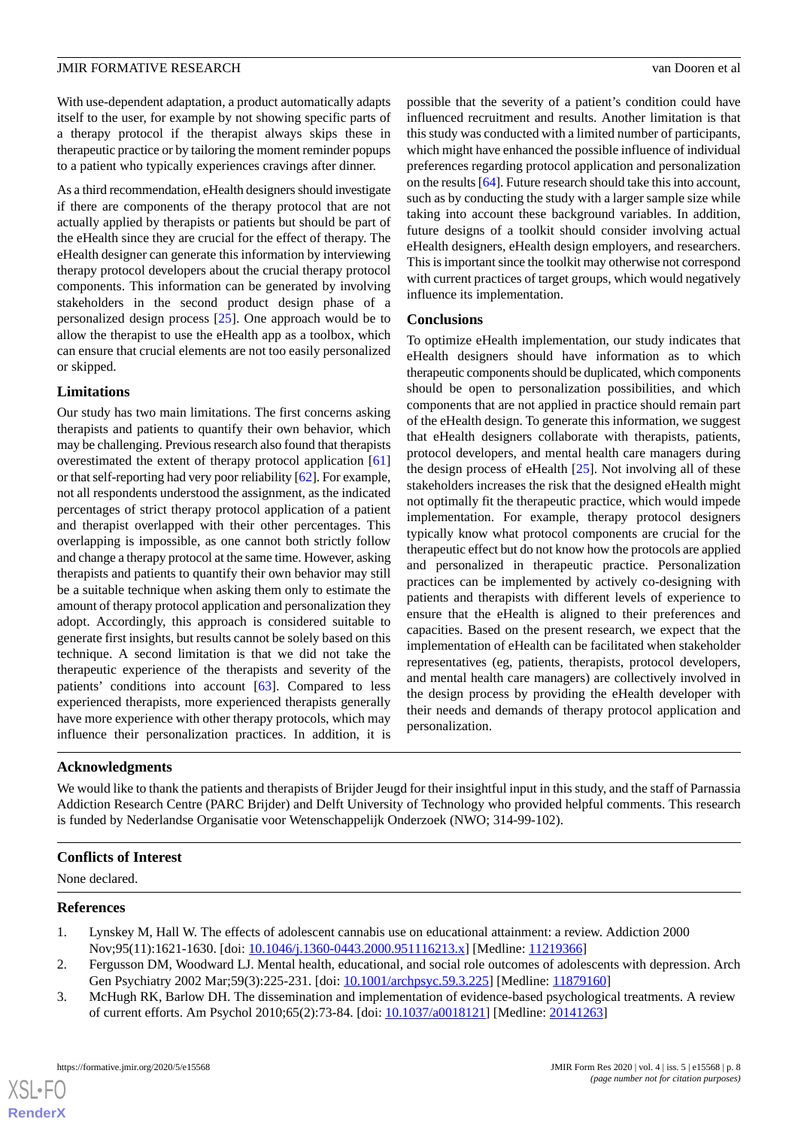With use-dependent adaptation, a product automatically adapts itself to the user, for example by not showing specific parts of a therapy protocol if the therapist always skips these in therapeutic practice or by tailoring the moment reminder popups to a patient who typically experiences cravings after dinner.

As a third recommendation, eHealth designers should investigate if there are components of the therapy protocol that are not actually applied by therapists or patients but should be part of the eHealth since they are crucial for the effect of therapy. The eHealth designer can generate this information by interviewing therapy protocol developers about the crucial therapy protocol components. This information can be generated by involving stakeholders in the second product design phase of a personalized design process [[25\]](#page-9-15). One approach would be to allow the therapist to use the eHealth app as a toolbox, which can ensure that crucial elements are not too easily personalized or skipped.

### **Limitations**

Our study has two main limitations. The first concerns asking therapists and patients to quantify their own behavior, which may be challenging. Previous research also found that therapists overestimated the extent of therapy protocol application [\[61](#page-11-4)] or that self-reporting had very poor reliability [\[62\]](#page-11-5). For example, not all respondents understood the assignment, as the indicated percentages of strict therapy protocol application of a patient and therapist overlapped with their other percentages. This overlapping is impossible, as one cannot both strictly follow and change a therapy protocol at the same time. However, asking therapists and patients to quantify their own behavior may still be a suitable technique when asking them only to estimate the amount of therapy protocol application and personalization they adopt. Accordingly, this approach is considered suitable to generate first insights, but results cannot be solely based on this technique. A second limitation is that we did not take the therapeutic experience of the therapists and severity of the patients' conditions into account [[63\]](#page-11-6). Compared to less experienced therapists, more experienced therapists generally have more experience with other therapy protocols, which may influence their personalization practices. In addition, it is

possible that the severity of a patient's condition could have influenced recruitment and results. Another limitation is that this study was conducted with a limited number of participants, which might have enhanced the possible influence of individual preferences regarding protocol application and personalization on the results [\[64](#page-11-7)]. Future research should take this into account, such as by conducting the study with a larger sample size while taking into account these background variables. In addition, future designs of a toolkit should consider involving actual eHealth designers, eHealth design employers, and researchers. This is important since the toolkit may otherwise not correspond with current practices of target groups, which would negatively influence its implementation.

### **Conclusions**

To optimize eHealth implementation, our study indicates that eHealth designers should have information as to which therapeutic components should be duplicated, which components should be open to personalization possibilities, and which components that are not applied in practice should remain part of the eHealth design. To generate this information, we suggest that eHealth designers collaborate with therapists, patients, protocol developers, and mental health care managers during the design process of eHealth [\[25](#page-9-15)]. Not involving all of these stakeholders increases the risk that the designed eHealth might not optimally fit the therapeutic practice, which would impede implementation. For example, therapy protocol designers typically know what protocol components are crucial for the therapeutic effect but do not know how the protocols are applied and personalized in therapeutic practice. Personalization practices can be implemented by actively co-designing with patients and therapists with different levels of experience to ensure that the eHealth is aligned to their preferences and capacities. Based on the present research, we expect that the implementation of eHealth can be facilitated when stakeholder representatives (eg, patients, therapists, protocol developers, and mental health care managers) are collectively involved in the design process by providing the eHealth developer with their needs and demands of therapy protocol application and personalization.

# **Acknowledgments**

We would like to thank the patients and therapists of Brijder Jeugd for their insightful input in this study, and the staff of Parnassia Addiction Research Centre (PARC Brijder) and Delft University of Technology who provided helpful comments. This research is funded by Nederlandse Organisatie voor Wetenschappelijk Onderzoek (NWO; 314-99-102).

### <span id="page-8-0"></span>**Conflicts of Interest**

<span id="page-8-1"></span>None declared.

#### <span id="page-8-2"></span>**References**

 $XS$  • FO **[RenderX](http://www.renderx.com/)**

- 1. Lynskey M, Hall W. The effects of adolescent cannabis use on educational attainment: a review. Addiction 2000 Nov;95(11):1621-1630. [doi: [10.1046/j.1360-0443.2000.951116213.x\]](http://dx.doi.org/10.1046/j.1360-0443.2000.951116213.x) [Medline: [11219366\]](http://www.ncbi.nlm.nih.gov/entrez/query.fcgi?cmd=Retrieve&db=PubMed&list_uids=11219366&dopt=Abstract)
- 2. Fergusson DM, Woodward LJ. Mental health, educational, and social role outcomes of adolescents with depression. Arch Gen Psychiatry 2002 Mar;59(3):225-231. [doi: [10.1001/archpsyc.59.3.225\]](http://dx.doi.org/10.1001/archpsyc.59.3.225) [Medline: [11879160\]](http://www.ncbi.nlm.nih.gov/entrez/query.fcgi?cmd=Retrieve&db=PubMed&list_uids=11879160&dopt=Abstract)
- 3. McHugh RK, Barlow DH. The dissemination and implementation of evidence-based psychological treatments. A review of current efforts. Am Psychol 2010;65(2):73-84. [doi: [10.1037/a0018121](http://dx.doi.org/10.1037/a0018121)] [Medline: [20141263](http://www.ncbi.nlm.nih.gov/entrez/query.fcgi?cmd=Retrieve&db=PubMed&list_uids=20141263&dopt=Abstract)]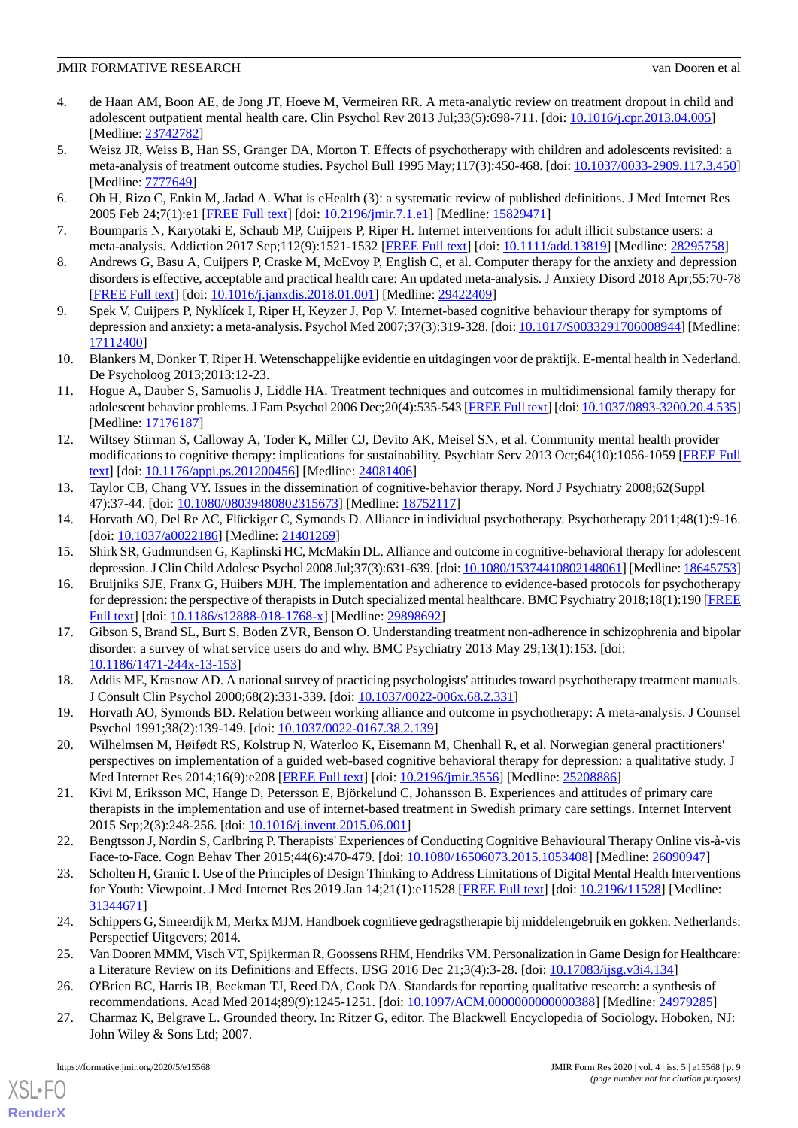- <span id="page-9-0"></span>4. de Haan AM, Boon AE, de Jong JT, Hoeve M, Vermeiren RR. A meta-analytic review on treatment dropout in child and adolescent outpatient mental health care. Clin Psychol Rev 2013 Jul;33(5):698-711. [doi: [10.1016/j.cpr.2013.04.005\]](http://dx.doi.org/10.1016/j.cpr.2013.04.005) [Medline: [23742782](http://www.ncbi.nlm.nih.gov/entrez/query.fcgi?cmd=Retrieve&db=PubMed&list_uids=23742782&dopt=Abstract)]
- <span id="page-9-1"></span>5. Weisz JR, Weiss B, Han SS, Granger DA, Morton T. Effects of psychotherapy with children and adolescents revisited: a meta-analysis of treatment outcome studies. Psychol Bull 1995 May;117(3):450-468. [doi: [10.1037/0033-2909.117.3.450](http://dx.doi.org/10.1037/0033-2909.117.3.450)] [Medline: **7777649**]
- <span id="page-9-3"></span><span id="page-9-2"></span>6. Oh H, Rizo C, Enkin M, Jadad A. What is eHealth (3): a systematic review of published definitions. J Med Internet Res 2005 Feb 24;7(1):e1 [\[FREE Full text](https://www.jmir.org/2005/1/e1/)] [doi: [10.2196/jmir.7.1.e1\]](http://dx.doi.org/10.2196/jmir.7.1.e1) [Medline: [15829471\]](http://www.ncbi.nlm.nih.gov/entrez/query.fcgi?cmd=Retrieve&db=PubMed&list_uids=15829471&dopt=Abstract)
- <span id="page-9-18"></span>7. Boumparis N, Karyotaki E, Schaub MP, Cuijpers P, Riper H. Internet interventions for adult illicit substance users: a meta-analysis. Addiction 2017 Sep;112(9):1521-1532 [[FREE Full text](http://europepmc.org/abstract/MED/28295758)] [doi: [10.1111/add.13819\]](http://dx.doi.org/10.1111/add.13819) [Medline: [28295758](http://www.ncbi.nlm.nih.gov/entrez/query.fcgi?cmd=Retrieve&db=PubMed&list_uids=28295758&dopt=Abstract)]
- <span id="page-9-4"></span>8. Andrews G, Basu A, Cuijpers P, Craske M, McEvoy P, English C, et al. Computer therapy for the anxiety and depression disorders is effective, acceptable and practical health care: An updated meta-analysis. J Anxiety Disord 2018 Apr;55:70-78 [[FREE Full text](https://linkinghub.elsevier.com/retrieve/pii/S0887-6185(17)30447-4)] [doi: [10.1016/j.janxdis.2018.01.001](http://dx.doi.org/10.1016/j.janxdis.2018.01.001)] [Medline: [29422409](http://www.ncbi.nlm.nih.gov/entrez/query.fcgi?cmd=Retrieve&db=PubMed&list_uids=29422409&dopt=Abstract)]
- <span id="page-9-5"></span>9. Spek V, Cuijpers P, Nyklícek I, Riper H, Keyzer J, Pop V. Internet-based cognitive behaviour therapy for symptoms of depression and anxiety: a meta-analysis. Psychol Med 2007;37(3):319-328. [doi: [10.1017/S0033291706008944](http://dx.doi.org/10.1017/S0033291706008944)] [Medline: [17112400](http://www.ncbi.nlm.nih.gov/entrez/query.fcgi?cmd=Retrieve&db=PubMed&list_uids=17112400&dopt=Abstract)]
- <span id="page-9-6"></span>10. Blankers M, Donker T, Riper H. Wetenschappelijke evidentie en uitdagingen voor de praktijk. E-mental health in Nederland. De Psycholoog 2013;2013:12-23.
- <span id="page-9-7"></span>11. Hogue A, Dauber S, Samuolis J, Liddle HA. Treatment techniques and outcomes in multidimensional family therapy for adolescent behavior problems. J Fam Psychol 2006 Dec;20(4):535-543 [[FREE Full text](http://europepmc.org/abstract/MED/17176187)] [doi: [10.1037/0893-3200.20.4.535\]](http://dx.doi.org/10.1037/0893-3200.20.4.535) [Medline: [17176187](http://www.ncbi.nlm.nih.gov/entrez/query.fcgi?cmd=Retrieve&db=PubMed&list_uids=17176187&dopt=Abstract)]
- <span id="page-9-20"></span>12. Wiltsey Stirman S, Calloway A, Toder K, Miller CJ, Devito AK, Meisel SN, et al. Community mental health provider modifications to cognitive therapy: implications for sustainability. Psychiatr Serv 2013 Oct;64(10):1056-1059 [[FREE Full](http://europepmc.org/abstract/MED/24081406) [text](http://europepmc.org/abstract/MED/24081406)] [doi: [10.1176/appi.ps.201200456\]](http://dx.doi.org/10.1176/appi.ps.201200456) [Medline: [24081406\]](http://www.ncbi.nlm.nih.gov/entrez/query.fcgi?cmd=Retrieve&db=PubMed&list_uids=24081406&dopt=Abstract)
- 13. Taylor CB, Chang VY. Issues in the dissemination of cognitive-behavior therapy. Nord J Psychiatry 2008;62(Suppl 47):37-44. [doi: [10.1080/08039480802315673\]](http://dx.doi.org/10.1080/08039480802315673) [Medline: [18752117](http://www.ncbi.nlm.nih.gov/entrez/query.fcgi?cmd=Retrieve&db=PubMed&list_uids=18752117&dopt=Abstract)]
- <span id="page-9-19"></span>14. Horvath AO, Del Re AC, Flückiger C, Symonds D. Alliance in individual psychotherapy. Psychotherapy 2011;48(1):9-16. [doi: [10.1037/a0022186\]](http://dx.doi.org/10.1037/a0022186) [Medline: [21401269](http://www.ncbi.nlm.nih.gov/entrez/query.fcgi?cmd=Retrieve&db=PubMed&list_uids=21401269&dopt=Abstract)]
- 15. Shirk SR, Gudmundsen G, Kaplinski HC, McMakin DL. Alliance and outcome in cognitive-behavioral therapy for adolescent depression. J Clin Child Adolesc Psychol 2008 Jul;37(3):631-639. [doi: [10.1080/15374410802148061](http://dx.doi.org/10.1080/15374410802148061)] [Medline: [18645753\]](http://www.ncbi.nlm.nih.gov/entrez/query.fcgi?cmd=Retrieve&db=PubMed&list_uids=18645753&dopt=Abstract)
- <span id="page-9-8"></span>16. Bruijniks SJE, Franx G, Huibers MJH. The implementation and adherence to evidence-based protocols for psychotherapy for depression: the perspective of therapists in Dutch specialized mental healthcare. BMC Psychiatry 2018;18(1):190 [\[FREE](https://bmcpsychiatry.biomedcentral.com/articles/10.1186/s12888-018-1768-x) [Full text\]](https://bmcpsychiatry.biomedcentral.com/articles/10.1186/s12888-018-1768-x) [doi: [10.1186/s12888-018-1768-x](http://dx.doi.org/10.1186/s12888-018-1768-x)] [Medline: [29898692](http://www.ncbi.nlm.nih.gov/entrez/query.fcgi?cmd=Retrieve&db=PubMed&list_uids=29898692&dopt=Abstract)]
- <span id="page-9-10"></span><span id="page-9-9"></span>17. Gibson S, Brand SL, Burt S, Boden ZVR, Benson O. Understanding treatment non-adherence in schizophrenia and bipolar disorder: a survey of what service users do and why. BMC Psychiatry 2013 May 29;13(1):153. [doi: [10.1186/1471-244x-13-153\]](http://dx.doi.org/10.1186/1471-244x-13-153)
- <span id="page-9-11"></span>18. Addis ME, Krasnow AD. A national survey of practicing psychologists' attitudes toward psychotherapy treatment manuals. J Consult Clin Psychol 2000;68(2):331-339. [doi: [10.1037/0022-006x.68.2.331\]](http://dx.doi.org/10.1037/0022-006x.68.2.331)
- 19. Horvath AO, Symonds BD. Relation between working alliance and outcome in psychotherapy: A meta-analysis. J Counsel Psychol 1991;38(2):139-149. [doi: [10.1037/0022-0167.38.2.139\]](http://dx.doi.org/10.1037/0022-0167.38.2.139)
- <span id="page-9-12"></span>20. Wilhelmsen M, Høifødt RS, Kolstrup N, Waterloo K, Eisemann M, Chenhall R, et al. Norwegian general practitioners' perspectives on implementation of a guided web-based cognitive behavioral therapy for depression: a qualitative study. J Med Internet Res 2014;16(9):e208 [[FREE Full text](http://www.jmir.org/2014/9/e208/)] [doi: [10.2196/jmir.3556](http://dx.doi.org/10.2196/jmir.3556)] [Medline: [25208886](http://www.ncbi.nlm.nih.gov/entrez/query.fcgi?cmd=Retrieve&db=PubMed&list_uids=25208886&dopt=Abstract)]
- <span id="page-9-13"></span>21. Kivi M, Eriksson MC, Hange D, Petersson E, Björkelund C, Johansson B. Experiences and attitudes of primary care therapists in the implementation and use of internet-based treatment in Swedish primary care settings. Internet Intervent 2015 Sep;2(3):248-256. [doi: [10.1016/j.invent.2015.06.001\]](http://dx.doi.org/10.1016/j.invent.2015.06.001)
- <span id="page-9-14"></span>22. Bengtsson J, Nordin S, Carlbring P. Therapists' Experiences of Conducting Cognitive Behavioural Therapy Online vis-à-vis Face-to-Face. Cogn Behav Ther 2015;44(6):470-479. [doi: [10.1080/16506073.2015.1053408](http://dx.doi.org/10.1080/16506073.2015.1053408)] [Medline: [26090947\]](http://www.ncbi.nlm.nih.gov/entrez/query.fcgi?cmd=Retrieve&db=PubMed&list_uids=26090947&dopt=Abstract)
- <span id="page-9-16"></span><span id="page-9-15"></span>23. Scholten H, Granic I. Use of the Principles of Design Thinking to Address Limitations of Digital Mental Health Interventions for Youth: Viewpoint. J Med Internet Res 2019 Jan 14;21(1):e11528 [\[FREE Full text\]](https://www.jmir.org/2019/1/e11528/) [doi: [10.2196/11528](http://dx.doi.org/10.2196/11528)] [Medline: [31344671](http://www.ncbi.nlm.nih.gov/entrez/query.fcgi?cmd=Retrieve&db=PubMed&list_uids=31344671&dopt=Abstract)]
- <span id="page-9-17"></span>24. Schippers G, Smeerdijk M, Merkx MJM. Handboek cognitieve gedragstherapie bij middelengebruik en gokken. Netherlands: Perspectief Uitgevers; 2014.
- 25. Van Dooren MMM, Visch VT, Spijkerman R, Goossens RHM, Hendriks VM. Personalization in Game Design for Healthcare: a Literature Review on its Definitions and Effects. IJSG 2016 Dec 21;3(4):3-28. [doi: [10.17083/ijsg.v3i4.134\]](http://dx.doi.org/10.17083/ijsg.v3i4.134)
- 26. O'Brien BC, Harris IB, Beckman TJ, Reed DA, Cook DA. Standards for reporting qualitative research: a synthesis of recommendations. Acad Med 2014;89(9):1245-1251. [doi: [10.1097/ACM.0000000000000388](http://dx.doi.org/10.1097/ACM.0000000000000388)] [Medline: [24979285\]](http://www.ncbi.nlm.nih.gov/entrez/query.fcgi?cmd=Retrieve&db=PubMed&list_uids=24979285&dopt=Abstract)
- 27. Charmaz K, Belgrave L. Grounded theory. In: Ritzer G, editor. The Blackwell Encyclopedia of Sociology. Hoboken, NJ: John Wiley & Sons Ltd; 2007.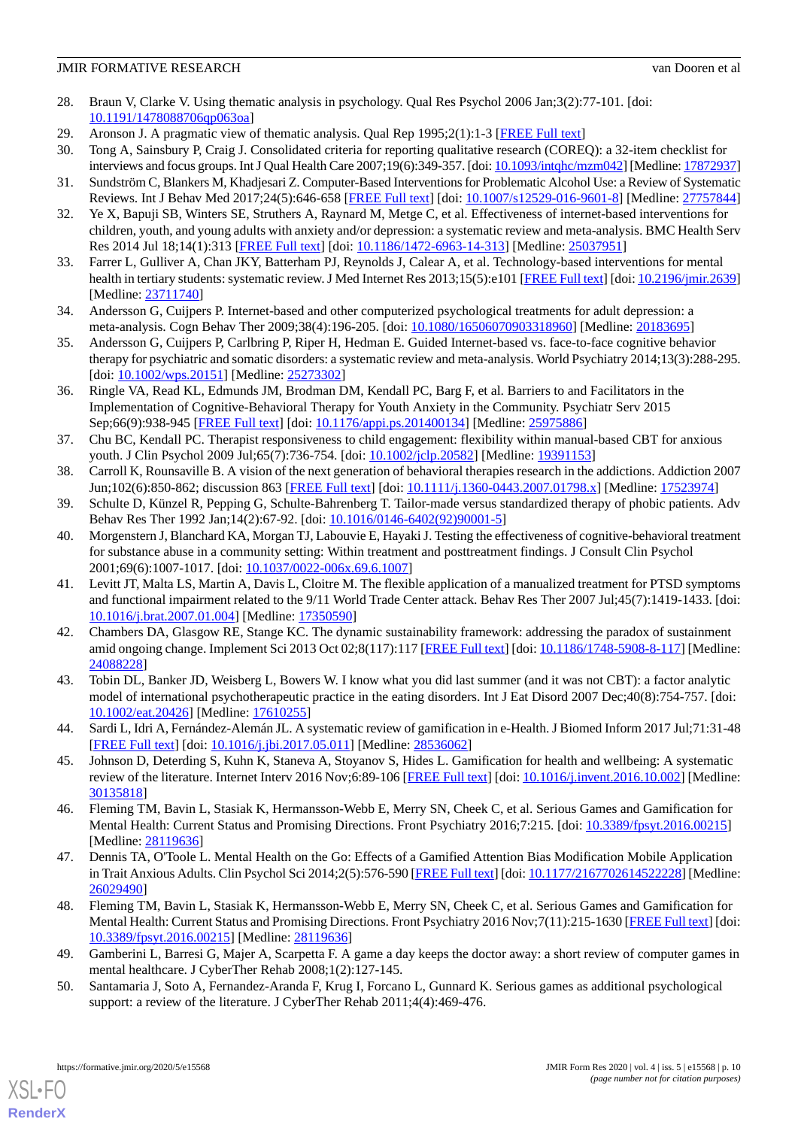- <span id="page-10-0"></span>28. Braun V, Clarke V. Using thematic analysis in psychology. Qual Res Psychol 2006 Jan;3(2):77-101. [doi: [10.1191/1478088706qp063oa](http://dx.doi.org/10.1191/1478088706qp063oa)]
- <span id="page-10-1"></span>29. Aronson J. A pragmatic view of thematic analysis. Qual Rep 1995;2(1):1-3 [\[FREE Full text\]](https://nsuworks.nova.edu/tqr/vol2/iss1/3/)
- <span id="page-10-2"></span>30. Tong A, Sainsbury P, Craig J. Consolidated criteria for reporting qualitative research (COREQ): a 32-item checklist for interviews and focus groups. Int J Qual Health Care 2007;19(6):349-357. [doi: [10.1093/intqhc/mzm042\]](http://dx.doi.org/10.1093/intqhc/mzm042) [Medline: [17872937\]](http://www.ncbi.nlm.nih.gov/entrez/query.fcgi?cmd=Retrieve&db=PubMed&list_uids=17872937&dopt=Abstract)
- 31. Sundström C, Blankers M, Khadjesari Z. Computer-Based Interventions for Problematic Alcohol Use: a Review of Systematic Reviews. Int J Behav Med 2017;24(5):646-658 [\[FREE Full text](http://europepmc.org/abstract/MED/27757844)] [doi: [10.1007/s12529-016-9601-8\]](http://dx.doi.org/10.1007/s12529-016-9601-8) [Medline: [27757844](http://www.ncbi.nlm.nih.gov/entrez/query.fcgi?cmd=Retrieve&db=PubMed&list_uids=27757844&dopt=Abstract)]
- 32. Ye X, Bapuji SB, Winters SE, Struthers A, Raynard M, Metge C, et al. Effectiveness of internet-based interventions for children, youth, and young adults with anxiety and/or depression: a systematic review and meta-analysis. BMC Health Serv Res 2014 Jul 18;14(1):313 [[FREE Full text](https://bmchealthservres.biomedcentral.com/articles/10.1186/1472-6963-14-313)] [doi: [10.1186/1472-6963-14-313\]](http://dx.doi.org/10.1186/1472-6963-14-313) [Medline: [25037951](http://www.ncbi.nlm.nih.gov/entrez/query.fcgi?cmd=Retrieve&db=PubMed&list_uids=25037951&dopt=Abstract)]
- <span id="page-10-4"></span><span id="page-10-3"></span>33. Farrer L, Gulliver A, Chan JKY, Batterham PJ, Reynolds J, Calear A, et al. Technology-based interventions for mental health in tertiary students: systematic review. J Med Internet Res 2013;15(5):e101 [\[FREE Full text](http://www.jmir.org/2013/5/e101/)] [doi: [10.2196/jmir.2639\]](http://dx.doi.org/10.2196/jmir.2639) [Medline: [23711740](http://www.ncbi.nlm.nih.gov/entrez/query.fcgi?cmd=Retrieve&db=PubMed&list_uids=23711740&dopt=Abstract)]
- <span id="page-10-5"></span>34. Andersson G, Cuijpers P. Internet-based and other computerized psychological treatments for adult depression: a meta-analysis. Cogn Behav Ther 2009;38(4):196-205. [doi: [10.1080/16506070903318960](http://dx.doi.org/10.1080/16506070903318960)] [Medline: [20183695\]](http://www.ncbi.nlm.nih.gov/entrez/query.fcgi?cmd=Retrieve&db=PubMed&list_uids=20183695&dopt=Abstract)
- <span id="page-10-6"></span>35. Andersson G, Cuijpers P, Carlbring P, Riper H, Hedman E. Guided Internet-based vs. face-to-face cognitive behavior therapy for psychiatric and somatic disorders: a systematic review and meta-analysis. World Psychiatry 2014;13(3):288-295. [doi: [10.1002/wps.20151\]](http://dx.doi.org/10.1002/wps.20151) [Medline: [25273302\]](http://www.ncbi.nlm.nih.gov/entrez/query.fcgi?cmd=Retrieve&db=PubMed&list_uids=25273302&dopt=Abstract)
- <span id="page-10-7"></span>36. Ringle VA, Read KL, Edmunds JM, Brodman DM, Kendall PC, Barg F, et al. Barriers to and Facilitators in the Implementation of Cognitive-Behavioral Therapy for Youth Anxiety in the Community. Psychiatr Serv 2015 Sep;66(9):938-945 [[FREE Full text](http://europepmc.org/abstract/MED/25975886)] [doi: [10.1176/appi.ps.201400134\]](http://dx.doi.org/10.1176/appi.ps.201400134) [Medline: [25975886\]](http://www.ncbi.nlm.nih.gov/entrez/query.fcgi?cmd=Retrieve&db=PubMed&list_uids=25975886&dopt=Abstract)
- <span id="page-10-9"></span><span id="page-10-8"></span>37. Chu BC, Kendall PC. Therapist responsiveness to child engagement: flexibility within manual-based CBT for anxious youth. J Clin Psychol 2009 Jul;65(7):736-754. [doi: [10.1002/jclp.20582\]](http://dx.doi.org/10.1002/jclp.20582) [Medline: [19391153](http://www.ncbi.nlm.nih.gov/entrez/query.fcgi?cmd=Retrieve&db=PubMed&list_uids=19391153&dopt=Abstract)]
- 38. Carroll K, Rounsaville B. A vision of the next generation of behavioral therapies research in the addictions. Addiction 2007 Jun;102(6):850-862; discussion 863 [\[FREE Full text\]](http://europepmc.org/abstract/MED/17523974) [doi: [10.1111/j.1360-0443.2007.01798.x](http://dx.doi.org/10.1111/j.1360-0443.2007.01798.x)] [Medline: [17523974](http://www.ncbi.nlm.nih.gov/entrez/query.fcgi?cmd=Retrieve&db=PubMed&list_uids=17523974&dopt=Abstract)]
- 39. Schulte D, Künzel R, Pepping G, Schulte-Bahrenberg T. Tailor-made versus standardized therapy of phobic patients. Adv Behav Res Ther 1992 Jan;14(2):67-92. [doi: [10.1016/0146-6402\(92\)90001-5\]](http://dx.doi.org/10.1016/0146-6402(92)90001-5)
- 40. Morgenstern J, Blanchard KA, Morgan TJ, Labouvie E, Hayaki J. Testing the effectiveness of cognitive-behavioral treatment for substance abuse in a community setting: Within treatment and posttreatment findings. J Consult Clin Psychol 2001;69(6):1007-1017. [doi: [10.1037/0022-006x.69.6.1007\]](http://dx.doi.org/10.1037/0022-006x.69.6.1007)
- <span id="page-10-10"></span>41. Levitt JT, Malta LS, Martin A, Davis L, Cloitre M. The flexible application of a manualized treatment for PTSD symptoms and functional impairment related to the 9/11 World Trade Center attack. Behav Res Ther 2007 Jul;45(7):1419-1433. [doi: [10.1016/j.brat.2007.01.004](http://dx.doi.org/10.1016/j.brat.2007.01.004)] [Medline: [17350590\]](http://www.ncbi.nlm.nih.gov/entrez/query.fcgi?cmd=Retrieve&db=PubMed&list_uids=17350590&dopt=Abstract)
- <span id="page-10-12"></span><span id="page-10-11"></span>42. Chambers DA, Glasgow RE, Stange KC. The dynamic sustainability framework: addressing the paradox of sustainment amid ongoing change. Implement Sci 2013 Oct 02;8(117):117 [\[FREE Full text](https://implementationscience.biomedcentral.com/articles/10.1186/1748-5908-8-117)] [doi: [10.1186/1748-5908-8-117\]](http://dx.doi.org/10.1186/1748-5908-8-117) [Medline: [24088228](http://www.ncbi.nlm.nih.gov/entrez/query.fcgi?cmd=Retrieve&db=PubMed&list_uids=24088228&dopt=Abstract)]
- 43. Tobin DL, Banker JD, Weisberg L, Bowers W. I know what you did last summer (and it was not CBT): a factor analytic model of international psychotherapeutic practice in the eating disorders. Int J Eat Disord 2007 Dec;40(8):754-757. [doi: [10.1002/eat.20426\]](http://dx.doi.org/10.1002/eat.20426) [Medline: [17610255\]](http://www.ncbi.nlm.nih.gov/entrez/query.fcgi?cmd=Retrieve&db=PubMed&list_uids=17610255&dopt=Abstract)
- <span id="page-10-13"></span>44. Sardi L, Idri A, Fernández-Alemán JL. A systematic review of gamification in e-Health. J Biomed Inform 2017 Jul;71:31-48 [[FREE Full text](https://linkinghub.elsevier.com/retrieve/pii/S1532-0464(17)30106-5)] [doi: [10.1016/j.jbi.2017.05.011](http://dx.doi.org/10.1016/j.jbi.2017.05.011)] [Medline: [28536062\]](http://www.ncbi.nlm.nih.gov/entrez/query.fcgi?cmd=Retrieve&db=PubMed&list_uids=28536062&dopt=Abstract)
- 45. Johnson D, Deterding S, Kuhn K, Staneva A, Stoyanov S, Hides L. Gamification for health and wellbeing: A systematic review of the literature. Internet Interv 2016 Nov;6:89-106 [\[FREE Full text\]](https://linkinghub.elsevier.com/retrieve/pii/S2214-7829(16)30038-0) [doi: [10.1016/j.invent.2016.10.002\]](http://dx.doi.org/10.1016/j.invent.2016.10.002) [Medline: [30135818](http://www.ncbi.nlm.nih.gov/entrez/query.fcgi?cmd=Retrieve&db=PubMed&list_uids=30135818&dopt=Abstract)]
- 46. Fleming TM, Bavin L, Stasiak K, Hermansson-Webb E, Merry SN, Cheek C, et al. Serious Games and Gamification for Mental Health: Current Status and Promising Directions. Front Psychiatry 2016;7:215. [doi: [10.3389/fpsyt.2016.00215\]](http://dx.doi.org/10.3389/fpsyt.2016.00215) [Medline: [28119636](http://www.ncbi.nlm.nih.gov/entrez/query.fcgi?cmd=Retrieve&db=PubMed&list_uids=28119636&dopt=Abstract)]
- 47. Dennis TA, O'Toole L. Mental Health on the Go: Effects of a Gamified Attention Bias Modification Mobile Application in Trait Anxious Adults. Clin Psychol Sci 2014;2(5):576-590 [[FREE Full text\]](http://europepmc.org/abstract/MED/26029490) [doi: [10.1177/2167702614522228\]](http://dx.doi.org/10.1177/2167702614522228) [Medline: [26029490](http://www.ncbi.nlm.nih.gov/entrez/query.fcgi?cmd=Retrieve&db=PubMed&list_uids=26029490&dopt=Abstract)]
- 48. Fleming TM, Bavin L, Stasiak K, Hermansson-Webb E, Merry SN, Cheek C, et al. Serious Games and Gamification for Mental Health: Current Status and Promising Directions. Front Psychiatry 2016 Nov;7(11):215-1630 [[FREE Full text\]](https://doi.org/10.3389/fpsyt.2016.00215) [doi: [10.3389/fpsyt.2016.00215\]](http://dx.doi.org/10.3389/fpsyt.2016.00215) [Medline: [28119636\]](http://www.ncbi.nlm.nih.gov/entrez/query.fcgi?cmd=Retrieve&db=PubMed&list_uids=28119636&dopt=Abstract)
- 49. Gamberini L, Barresi G, Majer A, Scarpetta F. A game a day keeps the doctor away: a short review of computer games in mental healthcare. J CyberTher Rehab 2008;1(2):127-145.
- 50. Santamaria J, Soto A, Fernandez-Aranda F, Krug I, Forcano L, Gunnard K. Serious games as additional psychological support: a review of the literature. J CyberTher Rehab 2011;4(4):469-476.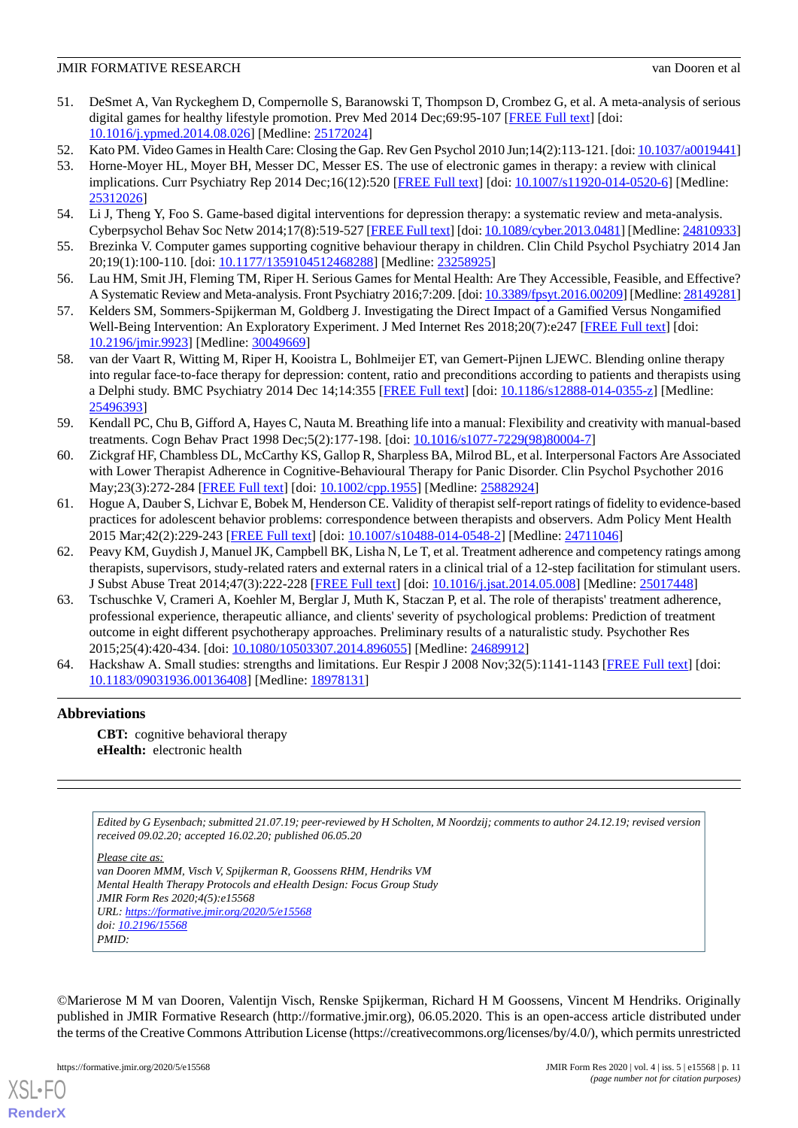- 51. DeSmet A, Van Ryckeghem D, Compernolle S, Baranowski T, Thompson D, Crombez G, et al. A meta-analysis of serious digital games for healthy lifestyle promotion. Prev Med 2014 Dec;69:95-107 [[FREE Full text](http://europepmc.org/abstract/MED/25172024)] [doi: [10.1016/j.ypmed.2014.08.026\]](http://dx.doi.org/10.1016/j.ypmed.2014.08.026) [Medline: [25172024\]](http://www.ncbi.nlm.nih.gov/entrez/query.fcgi?cmd=Retrieve&db=PubMed&list_uids=25172024&dopt=Abstract)
- 52. Kato PM. Video Games in Health Care: Closing the Gap. Rev Gen Psychol 2010 Jun;14(2):113-121. [doi: [10.1037/a0019441\]](http://dx.doi.org/10.1037/a0019441)
- 53. Horne-Moyer HL, Moyer BH, Messer DC, Messer ES. The use of electronic games in therapy: a review with clinical implications. Curr Psychiatry Rep 2014 Dec;16(12):520 [[FREE Full text](http://europepmc.org/abstract/MED/25312026)] [doi: [10.1007/s11920-014-0520-6\]](http://dx.doi.org/10.1007/s11920-014-0520-6) [Medline: [25312026](http://www.ncbi.nlm.nih.gov/entrez/query.fcgi?cmd=Retrieve&db=PubMed&list_uids=25312026&dopt=Abstract)]
- 54. Li J, Theng Y, Foo S. Game-based digital interventions for depression therapy: a systematic review and meta-analysis. Cyberpsychol Behav Soc Netw 2014;17(8):519-527 [[FREE Full text\]](http://europepmc.org/abstract/MED/24810933) [doi: [10.1089/cyber.2013.0481](http://dx.doi.org/10.1089/cyber.2013.0481)] [Medline: [24810933\]](http://www.ncbi.nlm.nih.gov/entrez/query.fcgi?cmd=Retrieve&db=PubMed&list_uids=24810933&dopt=Abstract)
- 55. Brezinka V. Computer games supporting cognitive behaviour therapy in children. Clin Child Psychol Psychiatry 2014 Jan 20;19(1):100-110. [doi: [10.1177/1359104512468288\]](http://dx.doi.org/10.1177/1359104512468288) [Medline: [23258925](http://www.ncbi.nlm.nih.gov/entrez/query.fcgi?cmd=Retrieve&db=PubMed&list_uids=23258925&dopt=Abstract)]
- <span id="page-11-0"></span>56. Lau HM, Smit JH, Fleming TM, Riper H. Serious Games for Mental Health: Are They Accessible, Feasible, and Effective? A Systematic Review and Meta-analysis. Front Psychiatry 2016;7:209. [doi: [10.3389/fpsyt.2016.00209\]](http://dx.doi.org/10.3389/fpsyt.2016.00209) [Medline: [28149281\]](http://www.ncbi.nlm.nih.gov/entrez/query.fcgi?cmd=Retrieve&db=PubMed&list_uids=28149281&dopt=Abstract)
- <span id="page-11-1"></span>57. Kelders SM, Sommers-Spijkerman M, Goldberg J. Investigating the Direct Impact of a Gamified Versus Nongamified Well-Being Intervention: An Exploratory Experiment. J Med Internet Res 2018;20(7):e247 [\[FREE Full text\]](http://www.jmir.org/2018/7/e247/) [doi: [10.2196/jmir.9923](http://dx.doi.org/10.2196/jmir.9923)] [Medline: [30049669](http://www.ncbi.nlm.nih.gov/entrez/query.fcgi?cmd=Retrieve&db=PubMed&list_uids=30049669&dopt=Abstract)]
- <span id="page-11-2"></span>58. van der Vaart R, Witting M, Riper H, Kooistra L, Bohlmeijer ET, van Gemert-Pijnen LJEWC. Blending online therapy into regular face-to-face therapy for depression: content, ratio and preconditions according to patients and therapists using a Delphi study. BMC Psychiatry 2014 Dec 14;14:355 [\[FREE Full text\]](https://bmcpsychiatry.biomedcentral.com/articles/10.1186/s12888-014-0355-z) [doi: [10.1186/s12888-014-0355-z](http://dx.doi.org/10.1186/s12888-014-0355-z)] [Medline: [25496393](http://www.ncbi.nlm.nih.gov/entrez/query.fcgi?cmd=Retrieve&db=PubMed&list_uids=25496393&dopt=Abstract)]
- <span id="page-11-3"></span>59. Kendall PC, Chu B, Gifford A, Hayes C, Nauta M. Breathing life into a manual: Flexibility and creativity with manual-based treatments. Cogn Behav Pract 1998 Dec;5(2):177-198. [doi: [10.1016/s1077-7229\(98\)80004-7](http://dx.doi.org/10.1016/s1077-7229(98)80004-7)]
- <span id="page-11-4"></span>60. Zickgraf HF, Chambless DL, McCarthy KS, Gallop R, Sharpless BA, Milrod BL, et al. Interpersonal Factors Are Associated with Lower Therapist Adherence in Cognitive-Behavioural Therapy for Panic Disorder. Clin Psychol Psychother 2016 May;23(3):272-284 [\[FREE Full text\]](http://europepmc.org/abstract/MED/25882924) [doi: [10.1002/cpp.1955](http://dx.doi.org/10.1002/cpp.1955)] [Medline: [25882924\]](http://www.ncbi.nlm.nih.gov/entrez/query.fcgi?cmd=Retrieve&db=PubMed&list_uids=25882924&dopt=Abstract)
- <span id="page-11-5"></span>61. Hogue A, Dauber S, Lichvar E, Bobek M, Henderson CE. Validity of therapist self-report ratings of fidelity to evidence-based practices for adolescent behavior problems: correspondence between therapists and observers. Adm Policy Ment Health 2015 Mar;42(2):229-243 [\[FREE Full text](http://europepmc.org/abstract/MED/24711046)] [doi: [10.1007/s10488-014-0548-2\]](http://dx.doi.org/10.1007/s10488-014-0548-2) [Medline: [24711046\]](http://www.ncbi.nlm.nih.gov/entrez/query.fcgi?cmd=Retrieve&db=PubMed&list_uids=24711046&dopt=Abstract)
- <span id="page-11-6"></span>62. Peavy KM, Guydish J, Manuel JK, Campbell BK, Lisha N, Le T, et al. Treatment adherence and competency ratings among therapists, supervisors, study-related raters and external raters in a clinical trial of a 12-step facilitation for stimulant users. J Subst Abuse Treat 2014;47(3):222-228 [\[FREE Full text\]](http://europepmc.org/abstract/MED/25017448) [doi: [10.1016/j.jsat.2014.05.008\]](http://dx.doi.org/10.1016/j.jsat.2014.05.008) [Medline: [25017448\]](http://www.ncbi.nlm.nih.gov/entrez/query.fcgi?cmd=Retrieve&db=PubMed&list_uids=25017448&dopt=Abstract)
- <span id="page-11-7"></span>63. Tschuschke V, Crameri A, Koehler M, Berglar J, Muth K, Staczan P, et al. The role of therapists' treatment adherence, professional experience, therapeutic alliance, and clients' severity of psychological problems: Prediction of treatment outcome in eight different psychotherapy approaches. Preliminary results of a naturalistic study. Psychother Res 2015;25(4):420-434. [doi: [10.1080/10503307.2014.896055\]](http://dx.doi.org/10.1080/10503307.2014.896055) [Medline: [24689912\]](http://www.ncbi.nlm.nih.gov/entrez/query.fcgi?cmd=Retrieve&db=PubMed&list_uids=24689912&dopt=Abstract)
- 64. Hackshaw A. Small studies: strengths and limitations. Eur Respir J 2008 Nov;32(5):1141-1143 [[FREE Full text](http://erj.ersjournals.com/cgi/pmidlookup?view=long&pmid=18978131)] [doi: [10.1183/09031936.00136408](http://dx.doi.org/10.1183/09031936.00136408)] [Medline: [18978131](http://www.ncbi.nlm.nih.gov/entrez/query.fcgi?cmd=Retrieve&db=PubMed&list_uids=18978131&dopt=Abstract)]

# **Abbreviations**

**CBT:** cognitive behavioral therapy **eHealth:** electronic health

*Edited by G Eysenbach; submitted 21.07.19; peer-reviewed by H Scholten, M Noordzij; comments to author 24.12.19; revised version received 09.02.20; accepted 16.02.20; published 06.05.20*

*Please cite as:*

*van Dooren MMM, Visch V, Spijkerman R, Goossens RHM, Hendriks VM Mental Health Therapy Protocols and eHealth Design: Focus Group Study JMIR Form Res 2020;4(5):e15568 URL: <https://formative.jmir.org/2020/5/e15568> doi: [10.2196/15568](http://dx.doi.org/10.2196/15568) PMID:*

©Marierose M M van Dooren, Valentijn Visch, Renske Spijkerman, Richard H M Goossens, Vincent M Hendriks. Originally published in JMIR Formative Research (http://formative.jmir.org), 06.05.2020. This is an open-access article distributed under the terms of the Creative Commons Attribution License (https://creativecommons.org/licenses/by/4.0/), which permits unrestricted